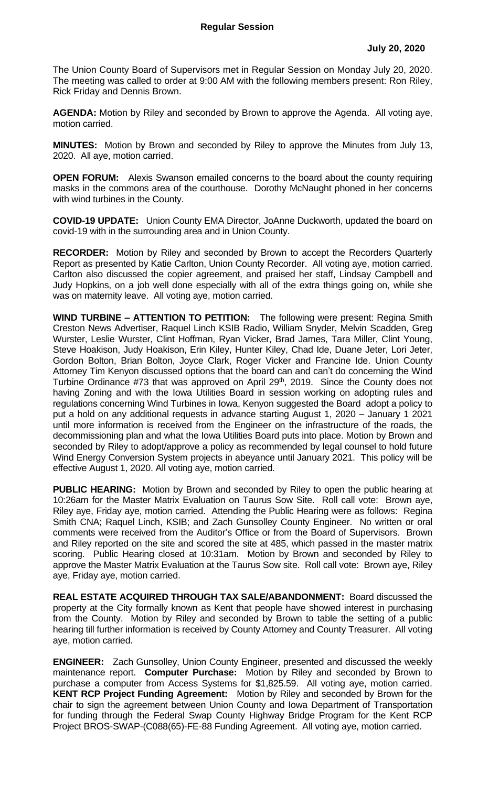The Union County Board of Supervisors met in Regular Session on Monday July 20, 2020. The meeting was called to order at 9:00 AM with the following members present: Ron Riley, Rick Friday and Dennis Brown.

**AGENDA:** Motion by Riley and seconded by Brown to approve the Agenda. All voting aye, motion carried.

**MINUTES:** Motion by Brown and seconded by Riley to approve the Minutes from July 13, 2020. All aye, motion carried.

**OPEN FORUM:** Alexis Swanson emailed concerns to the board about the county requiring masks in the commons area of the courthouse. Dorothy McNaught phoned in her concerns with wind turbines in the County.

**COVID-19 UPDATE:** Union County EMA Director, JoAnne Duckworth, updated the board on covid-19 with in the surrounding area and in Union County.

**RECORDER:** Motion by Riley and seconded by Brown to accept the Recorders Quarterly Report as presented by Katie Carlton, Union County Recorder. All voting aye, motion carried. Carlton also discussed the copier agreement, and praised her staff, Lindsay Campbell and Judy Hopkins, on a job well done especially with all of the extra things going on, while she was on maternity leave. All voting aye, motion carried.

**WIND TURBINE – ATTENTION TO PETITION:** The following were present: Regina Smith Creston News Advertiser, Raquel Linch KSIB Radio, William Snyder, Melvin Scadden, Greg Wurster, Leslie Wurster, Clint Hoffman, Ryan Vicker, Brad James, Tara Miller, Clint Young, Steve Hoakison, Judy Hoakison, Erin Kiley, Hunter Kiley, Chad Ide, Duane Jeter, Lori Jeter, Gordon Bolton, Brian Bolton, Joyce Clark, Roger Vicker and Francine Ide. Union County Attorney Tim Kenyon discussed options that the board can and can't do concerning the Wind Turbine Ordinance #73 that was approved on April 29<sup>th</sup>, 2019. Since the County does not having Zoning and with the Iowa Utilities Board in session working on adopting rules and regulations concerning Wind Turbines in Iowa, Kenyon suggested the Board adopt a policy to put a hold on any additional requests in advance starting August 1, 2020 – January 1 2021 until more information is received from the Engineer on the infrastructure of the roads, the decommissioning plan and what the Iowa Utilities Board puts into place. Motion by Brown and seconded by Riley to adopt/approve a policy as recommended by legal counsel to hold future Wind Energy Conversion System projects in abeyance until January 2021. This policy will be effective August 1, 2020. All voting aye, motion carried.

**PUBLIC HEARING:** Motion by Brown and seconded by Riley to open the public hearing at 10:26am for the Master Matrix Evaluation on Taurus Sow Site. Roll call vote: Brown aye, Riley aye, Friday aye, motion carried. Attending the Public Hearing were as follows: Regina Smith CNA; Raquel Linch, KSIB; and Zach Gunsolley County Engineer. No written or oral comments were received from the Auditor's Office or from the Board of Supervisors. Brown and Riley reported on the site and scored the site at 485, which passed in the master matrix scoring. Public Hearing closed at 10:31am. Motion by Brown and seconded by Riley to approve the Master Matrix Evaluation at the Taurus Sow site. Roll call vote: Brown aye, Riley aye, Friday aye, motion carried.

**REAL ESTATE ACQUIRED THROUGH TAX SALE/ABANDONMENT:** Board discussed the property at the City formally known as Kent that people have showed interest in purchasing from the County. Motion by Riley and seconded by Brown to table the setting of a public hearing till further information is received by County Attorney and County Treasurer. All voting aye, motion carried.

**ENGINEER:** Zach Gunsolley, Union County Engineer, presented and discussed the weekly maintenance report. **Computer Purchase:** Motion by Riley and seconded by Brown to purchase a computer from Access Systems for \$1,825.59. All voting aye, motion carried. **KENT RCP Project Funding Agreement:** Motion by Riley and seconded by Brown for the chair to sign the agreement between Union County and Iowa Department of Transportation for funding through the Federal Swap County Highway Bridge Program for the Kent RCP Project BROS-SWAP-(C088(65)-FE-88 Funding Agreement. All voting aye, motion carried.